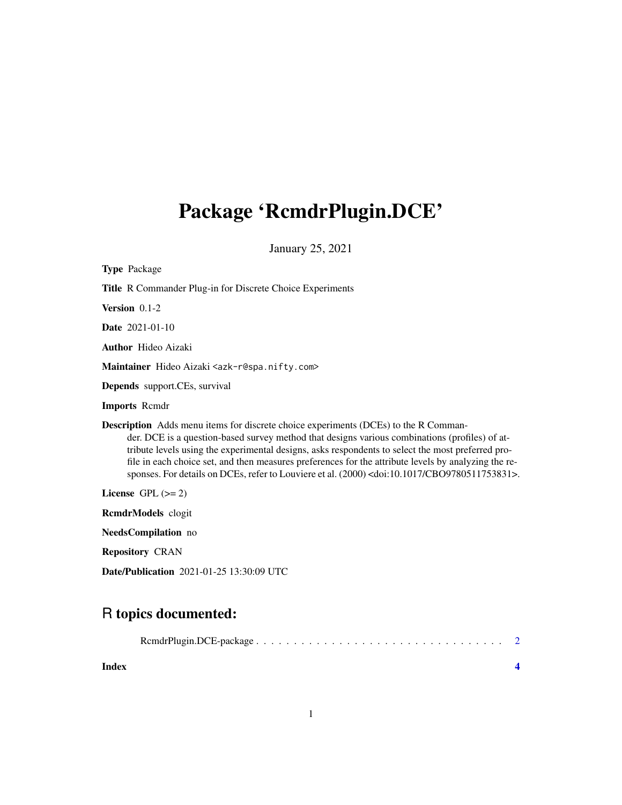# <span id="page-0-0"></span>Package 'RcmdrPlugin.DCE'

January 25, 2021

| <b>Type Package</b>                                                                                                                                                                                                                                                                                                                                                                                                                                                                                                         |
|-----------------------------------------------------------------------------------------------------------------------------------------------------------------------------------------------------------------------------------------------------------------------------------------------------------------------------------------------------------------------------------------------------------------------------------------------------------------------------------------------------------------------------|
| <b>Title R Commander Plug-in for Discrete Choice Experiments</b>                                                                                                                                                                                                                                                                                                                                                                                                                                                            |
| Version $0.1-2$                                                                                                                                                                                                                                                                                                                                                                                                                                                                                                             |
| <b>Date</b> 2021-01-10                                                                                                                                                                                                                                                                                                                                                                                                                                                                                                      |
| <b>Author</b> Hideo Aizaki                                                                                                                                                                                                                                                                                                                                                                                                                                                                                                  |
| Maintainer Hideo Aizaki <azk-r@spa.nifty.com></azk-r@spa.nifty.com>                                                                                                                                                                                                                                                                                                                                                                                                                                                         |
| <b>Depends</b> support.CEs, survival                                                                                                                                                                                                                                                                                                                                                                                                                                                                                        |
| <b>Imports Remdr</b>                                                                                                                                                                                                                                                                                                                                                                                                                                                                                                        |
| <b>Description</b> Adds menu items for discrete choice experiments (DCEs) to the R Comman-<br>der. DCE is a question-based survey method that designs various combinations (profiles) of at-<br>tribute levels using the experimental designs, asks respondents to select the most preferred pro-<br>file in each choice set, and then measures preferences for the attribute levels by analyzing the re-<br>sponses. For details on DCEs, refer to Louviere et al. (2000) <doi:10.1017 cbo9780511753831="">.</doi:10.1017> |
| License $GPL (= 2)$                                                                                                                                                                                                                                                                                                                                                                                                                                                                                                         |
| RcmdrModels clogit                                                                                                                                                                                                                                                                                                                                                                                                                                                                                                          |
| NeedsCompilation no                                                                                                                                                                                                                                                                                                                                                                                                                                                                                                         |
| <b>Repository CRAN</b>                                                                                                                                                                                                                                                                                                                                                                                                                                                                                                      |

Date/Publication 2021-01-25 13:30:09 UTC

### R topics documented:

| Index |  |
|-------|--|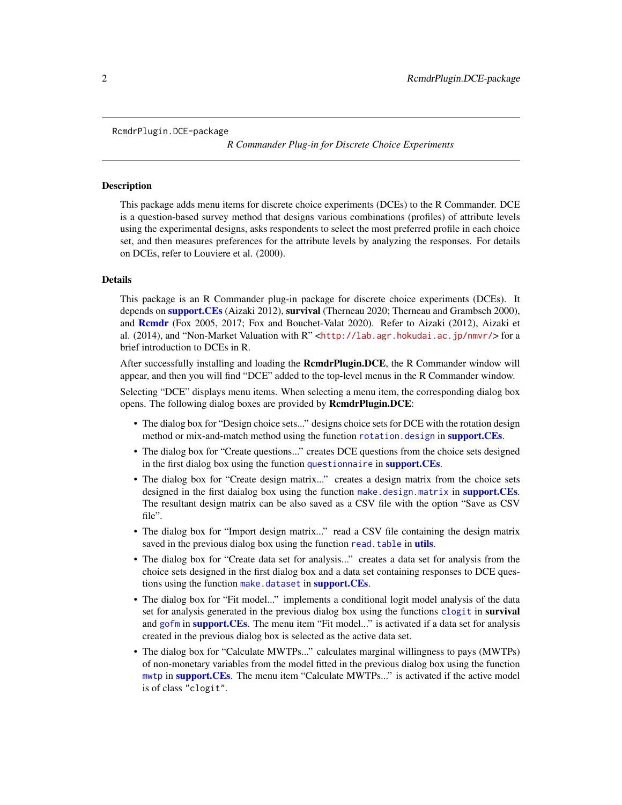<span id="page-1-0"></span>RcmdrPlugin.DCE-package

*R Commander Plug-in for Discrete Choice Experiments*

#### **Description**

This package adds menu items for discrete choice experiments (DCEs) to the R Commander. DCE is a question-based survey method that designs various combinations (profiles) of attribute levels using the experimental designs, asks respondents to select the most preferred profile in each choice set, and then measures preferences for the attribute levels by analyzing the responses. For details on DCEs, refer to Louviere et al. (2000).

#### Details

This package is an R Commander plug-in package for discrete choice experiments (DCEs). It depends on **[support.CEs](#page-0-0)** (Aizaki 2012), **survival** (Therneau 2020; Therneau and Grambsch 2000), and [Rcmdr](#page-0-0) (Fox 2005, 2017; Fox and Bouchet-Valat 2020). Refer to Aizaki (2012), Aizaki et al. (2014), and "Non-Market Valuation with R" <<http://lab.agr.hokudai.ac.jp/nmvr/>> for a brief introduction to DCEs in R.

After successfully installing and loading the **RemdrPlugin.DCE**, the R Commander window will appear, and then you will find "DCE" added to the top-level menus in the R Commander window.

Selecting "DCE" displays menu items. When selecting a menu item, the corresponding dialog box opens. The following dialog boxes are provided by RcmdrPlugin.DCE:

- The dialog box for "Design choice sets..." designs choice sets for DCE with the rotation design method or mix-and-match method using the function [rotation.design](#page-0-0) in [support.CEs](#page-0-0).
- The dialog box for "Create questions..." creates DCE questions from the choice sets designed in the first dialog box using the function [questionnaire](#page-0-0) in [support.CEs](#page-0-0).
- The dialog box for "Create design matrix..." creates a design matrix from the choice sets designed in the first daialog box using the function [make.design.matrix](#page-0-0) in [support.CEs](#page-0-0). The resultant design matrix can be also saved as a CSV file with the option "Save as CSV file".
- The dialog box for "Import design matrix..." read a CSV file containing the design matrix saved in the previous dialog box using the function read. table in [utils](#page-0-0).
- The dialog box for "Create data set for analysis..." creates a data set for analysis from the choice sets designed in the first dialog box and a data set containing responses to DCE questions using the function [make.dataset](#page-0-0) in [support.CEs](#page-0-0).
- The dialog box for "Fit model..." implements a conditional logit model analysis of the data set for analysis generated in the previous dialog box using the functions [clogit](#page-0-0) in survival and [gofm](#page-0-0) in [support.CEs](#page-0-0). The menu item "Fit model..." is activated if a data set for analysis created in the previous dialog box is selected as the active data set.
- The dialog box for "Calculate MWTPs..." calculates marginal willingness to pays (MWTPs) of non-monetary variables from the model fitted in the previous dialog box using the function [mwtp](#page-0-0) in [support.CEs](#page-0-0). The menu item "Calculate MWTPs..." is activated if the active model is of class "clogit".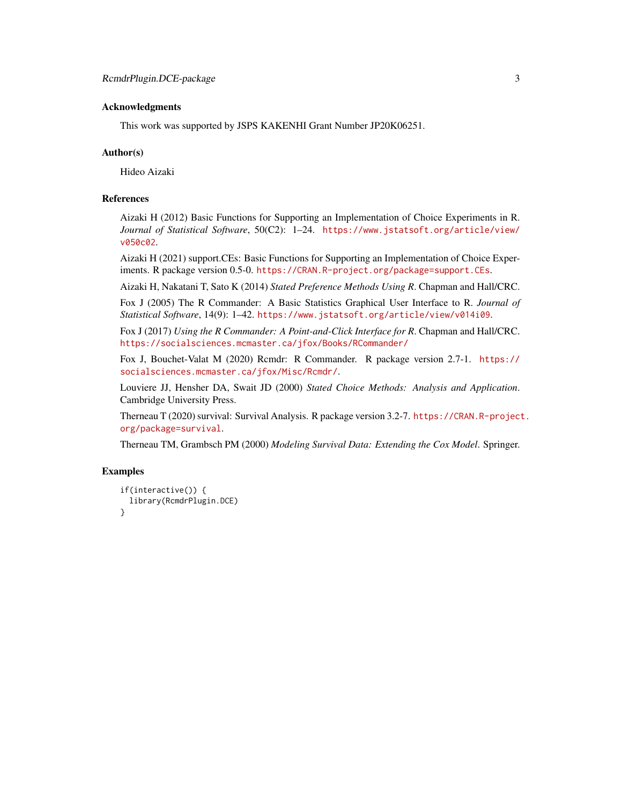#### Acknowledgments

This work was supported by JSPS KAKENHI Grant Number JP20K06251.

#### Author(s)

Hideo Aizaki

#### References

Aizaki H (2012) Basic Functions for Supporting an Implementation of Choice Experiments in R. *Journal of Statistical Software*, 50(C2): 1–24. [https://www.jstatsoft.org/article/view/](https://www.jstatsoft.org/article/view/v050c02) [v050c02](https://www.jstatsoft.org/article/view/v050c02).

Aizaki H (2021) support.CEs: Basic Functions for Supporting an Implementation of Choice Experiments. R package version 0.5-0. <https://CRAN.R-project.org/package=support.CEs>.

Aizaki H, Nakatani T, Sato K (2014) *Stated Preference Methods Using R*. Chapman and Hall/CRC.

Fox J (2005) The R Commander: A Basic Statistics Graphical User Interface to R. *Journal of Statistical Software*, 14(9): 1–42. <https://www.jstatsoft.org/article/view/v014i09>.

Fox J (2017) *Using the R Commander: A Point-and-Click Interface for R*. Chapman and Hall/CRC. <https://socialsciences.mcmaster.ca/jfox/Books/RCommander/>

Fox J, Bouchet-Valat M (2020) Rcmdr: R Commander. R package version 2.7-1. [https://](https://socialsciences.mcmaster.ca/jfox/Misc/Rcmdr/) [socialsciences.mcmaster.ca/jfox/Misc/Rcmdr/](https://socialsciences.mcmaster.ca/jfox/Misc/Rcmdr/).

Louviere JJ, Hensher DA, Swait JD (2000) *Stated Choice Methods: Analysis and Application*. Cambridge University Press.

Therneau T (2020) survival: Survival Analysis. R package version 3.2-7. [https://CRAN.R-project](https://CRAN.R-project.org/package=survival). [org/package=survival](https://CRAN.R-project.org/package=survival).

Therneau TM, Grambsch PM (2000) *Modeling Survival Data: Extending the Cox Model*. Springer.

#### Examples

```
if(interactive()) {
 library(RcmdrPlugin.DCE)
}
```